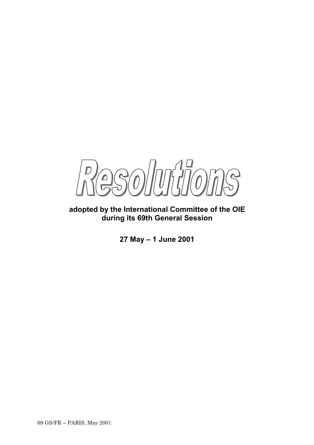$\widehat{\mathbf{c}}$  $\mathbf{c}$  $\bigcap$ 

**adopted by the International Committee of the OIE during its 69th General Session**

**27 May – 1 June 2001**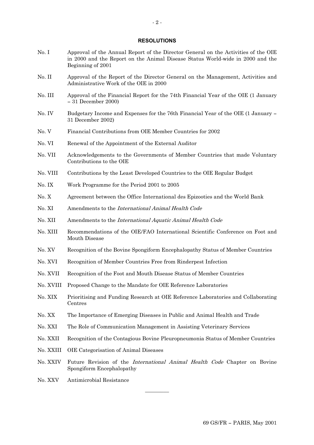#### **RESOLUTIONS**

- No. I Approval of the Annual Report of the Director General on the Activities of the OIE in 2000 and the Report on the Animal Disease Status World-wide in 2000 and the Beginning of 2001
- No. II Approval of the Report of the Director General on the Management, Activities and Administrative Work of the OIE in 2000
- No. III Approval of the Financial Report for the 74th Financial Year of the OIE (1 January — 31 December 2000)
- No. IV Budgetary Income and Expenses for the 76th Financial Year of the OIE (1 January 31 December 2002)
- No. V Financial Contributions from OIE Member Countries for 2002
- No. VI Renewal of the Appointment of the External Auditor
- No. VII Acknowledgements to the Governments of Member Countries that made Voluntary Contributions to the OIE
- No. VIII Contributions by the Least Developed Countries to the OIE Regular Budget
- No. IX Work Programme for the Period 2001 to 2005
- No. X Agreement between the Office International des Epizooties and the World Bank
- No. XI Amendments to the International Animal Health Code
- No. XII Amendments to the International Aquatic Animal Health Code
- No. XIII Recommendations of the OIE/FAO International Scientific Conference on Foot and Mouth Disease
- No. XV Recognition of the Bovine Spongiform Encephalopathy Status of Member Countries
- No. XVI Recognition of Member Countries Free from Rinderpest Infection
- No. XVII Recognition of the Foot and Mouth Disease Status of Member Countries
- No. XVIII Proposed Change to the Mandate for OIE Reference Laboratories
- No. XIX Prioritising and Funding Research at OIE Reference Laboratories and Collaborating Centres
- No. XX The Importance of Emerging Diseases in Public and Animal Health and Trade
- No. XXI The Role of Communication Management in Assisting Veterinary Services
- No. XXII Recognition of the Contagious Bovine Pleuropneumonia Status of Member Countries
- No. XXIII OIE Categorisation of Animal Diseases
- No. XXIV Future Revision of the International Animal Health Code Chapter on Bovine Spongiform Encephalopathy

 $\overline{\phantom{a}}$ 

No. XXV Antimicrobial Resistance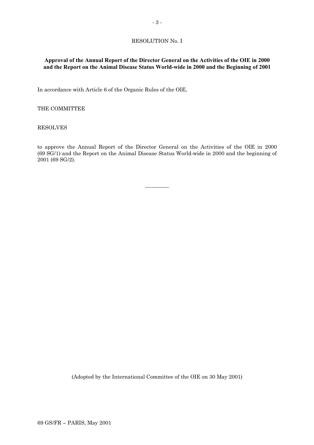## RESOLUTION No. I

# **Approval of the Annual Report of the Director General on the Activities of the OIE in 2000 and the Report on the Animal Disease Status World-wide in 2000 and the Beginning of 2001**

In accordance with Article 6 of the Organic Rules of the OIE,

### THE COMMITTEE

#### RESOLVES

to approve the Annual Report of the Director General on the Activities of the OIE in 2000 (69 SG/1) and the Report on the Animal Disease Status World-wide in 2000 and the beginning of 2001 (69 SG/2).

 $\overline{\phantom{a}}$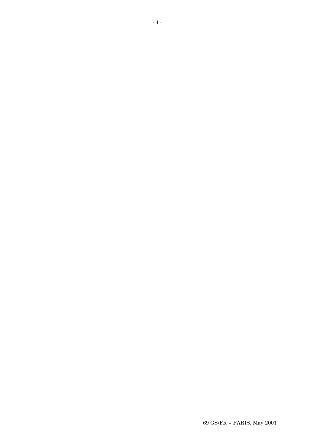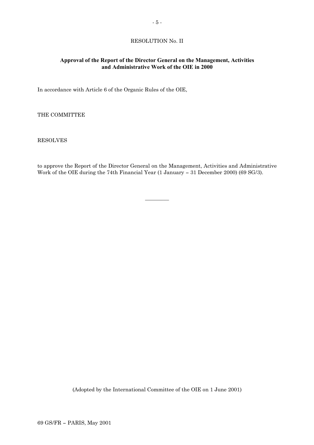# RESOLUTION No. II

# **Approval of the Report of the Director General on the Management, Activities and Administrative Work of the OIE in 2000**

In accordance with Article 6 of the Organic Rules of the OIE,

THE COMMITTEE

RESOLVES

to approve the Report of the Director General on the Management, Activities and Administrative Work of the OIE during the 74th Financial Year (1 January — 31 December 2000) (69 SG/3).

 $\overline{\phantom{a}}$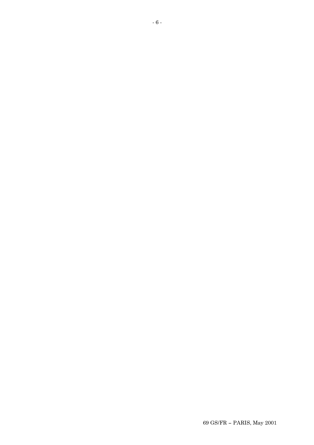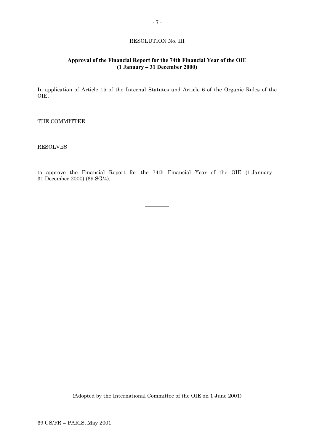## RESOLUTION No. III

# **Approval of the Financial Report for the 74th Financial Year of the OIE (1 January – 31 December 2000)**

In application of Article 15 of the Internal Statutes and Article 6 of the Organic Rules of the OIE,

THE COMMITTEE

RESOLVES

to approve the Financial Report for the 74th Financial Year of the OIE (1 January — 31 December 2000) (69 SG/4).

 $\overline{\phantom{a}}$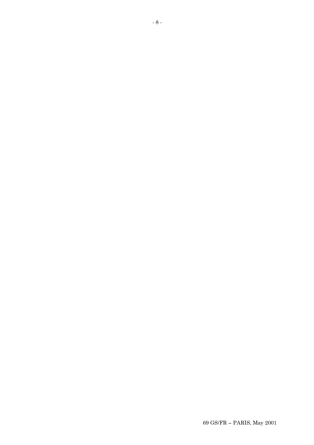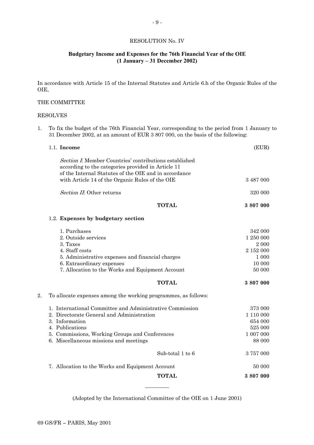## RESOLUTION No. IV

# **Budgetary Income and Expenses for the 76th Financial Year of the OIE (1 January – 31 December 2002)**

In accordance with Article 15 of the Internal Statutes and Article 6.h of the Organic Rules of the OIE,

#### THE COMMITTEE

## RESOLVES

1. To fix the budget of the 76th Financial Year, corresponding to the period from 1 January to 31 December 2002, at an amount of EUR 3 807 000, on the basis of the following:

| 1.1. Income                                                                                                                                                                   | (EUR)     |
|-------------------------------------------------------------------------------------------------------------------------------------------------------------------------------|-----------|
| <i>Section I</i> : Member Countries' contributions established<br>according to the categories provided in Article 11<br>of the Internal Statutes of the OIE and in accordance |           |
| with Article 14 of the Organic Rules of the OIE                                                                                                                               | 3 487 000 |
| <i>Section II</i> : Other returns                                                                                                                                             | 320 000   |
| <b>TOTAL</b>                                                                                                                                                                  | 3 807 000 |
| 1.2. Expenses by budgetary section                                                                                                                                            |           |
| 1. Purchases                                                                                                                                                                  | 342 000   |
| 2. Outside services                                                                                                                                                           | 1 250 000 |
| 3. Taxes                                                                                                                                                                      | 2 000     |
| 4. Staff costs                                                                                                                                                                | 2 152 000 |
| 5. Administrative expenses and financial charges                                                                                                                              | 1 000     |
| 6. Extraordinary expenses                                                                                                                                                     | 10 000    |
| 7. Allocation to the Works and Equipment Account                                                                                                                              | 50 000    |
| <b>TOTAL</b>                                                                                                                                                                  | 3 807 000 |
| $\overline{2}$ .<br>To allocate expenses among the working programmes, as follows:                                                                                            |           |
| 1. International Committee and Administrative Commission                                                                                                                      | 373 000   |
| 2. Directorate General and Administration                                                                                                                                     | 1 110 000 |
| 3. Information                                                                                                                                                                | 654 000   |
| 4. Publications                                                                                                                                                               | 525 000   |
| 5. Commissions, Working Groups and Conferences                                                                                                                                | 1 007 000 |
| 6. Miscellaneous missions and meetings                                                                                                                                        | 88 000    |
| Sub-total 1 to 6                                                                                                                                                              | 3757000   |
| 7. Allocation to the Works and Equipment Account                                                                                                                              | 50 000    |
| <b>TOTAL</b>                                                                                                                                                                  | 3 807 000 |

(Adopted by the International Committee of the OIE on 1 June 2001)

 $\overline{\phantom{a}}$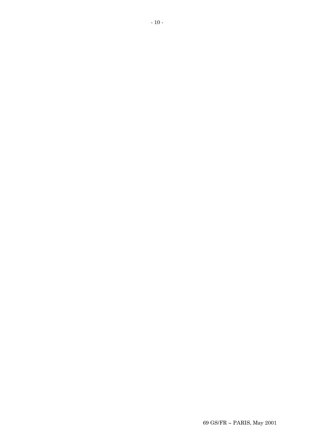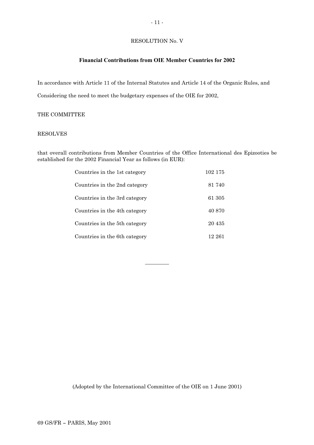# RESOLUTION No. V

### **Financial Contributions from OIE Member Countries for 2002**

In accordance with Article 11 of the Internal Statutes and Article 14 of the Organic Rules, and

Considering the need to meet the budgetary expenses of the OIE for 2002,

## THE COMMITTEE

## RESOLVES

that overall contributions from Member Countries of the Office International des Epizooties be established for the 2002 Financial Year as follows (in EUR):

| Countries in the 1st category             | 102 175 |
|-------------------------------------------|---------|
| Countries in the 2nd category             | 81 740  |
| Countries in the 3rd category             | 61 305  |
| Countries in the 4th category             | 40 870  |
| Countries in the 5 <sup>th</sup> category | 20 435  |
| Countries in the 6 <sup>th</sup> category | 12 261  |

 $\overline{\phantom{a}}$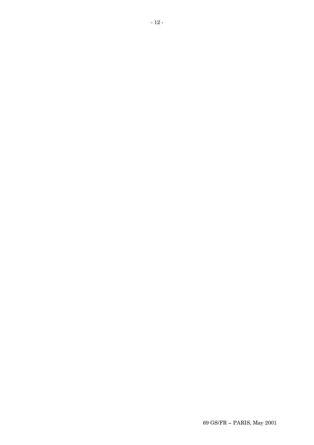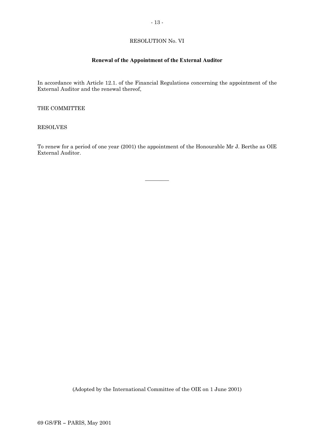# RESOLUTION No. VI

# **Renewal of the Appointment of the External Auditor**

In accordance with Article 12.1. of the Financial Regulations concerning the appointment of the External Auditor and the renewal thereof,

## THE COMMITTEE

RESOLVES

To renew for a period of one year (2001) the appointment of the Honourable Mr J. Berthe as OIE External Auditor.

 $\overline{\phantom{a}}$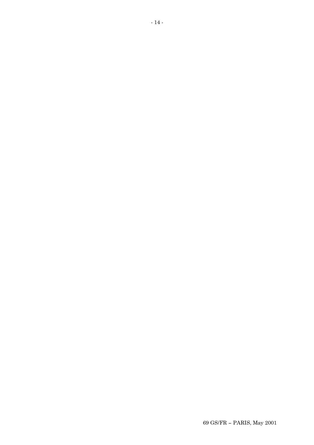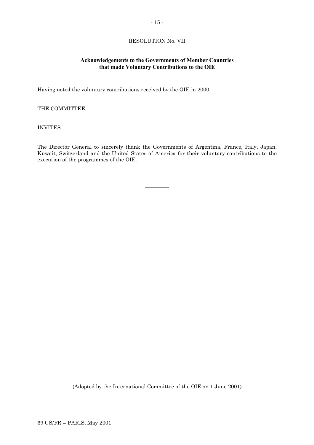# RESOLUTION No. VII

# **Acknowledgements to the Governments of Member Countries that made Voluntary Contributions to the OIE**

Having noted the voluntary contributions received by the OIE in 2000,

## THE COMMITTEE

INVITES

The Director General to sincerely thank the Governments of Argentina, France, Italy, Japan, Kuwait, Switzerland and the United States of America for their voluntary contributions to the execution of the programmes of the OIE.

 $\overline{\phantom{a}}$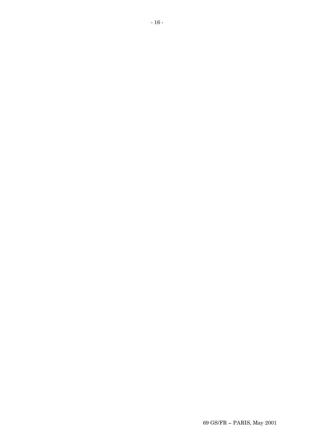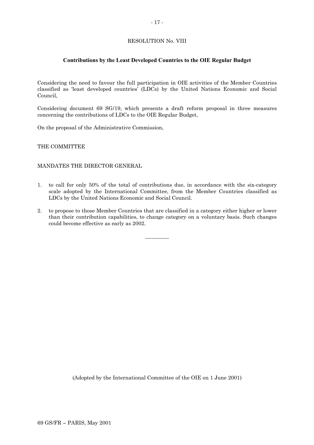# RESOLUTION No. VIII

## **Contributions by the Least Developed Countries to the OIE Regular Budget**

Considering the need to favour the full participation in OIE activities of the Member Countries classified as 'least developed countries' (LDCs) by the United Nations Economic and Social Council,

Considering document 69 SG/19, which presents a draft reform proposal in three measures concerning the contributions of LDCs to the OIE Regular Budget,

On the proposal of the Administrative Commission,

THE COMMITTEE

### MANDATES THE DIRECTOR GENERAL

- 1. to call for only 50% of the total of contributions due, in accordance with the six-category scale adopted by the International Committee, from the Member Countries classified as LDCs by the United Nations Economic and Social Council.
- 2. to propose to those Member Countries that are classified in a category either higher or lower than their contribution capabilities, to change category on a voluntary basis. Such changes could become effective as early as 2002.

 $\overline{\phantom{a}}$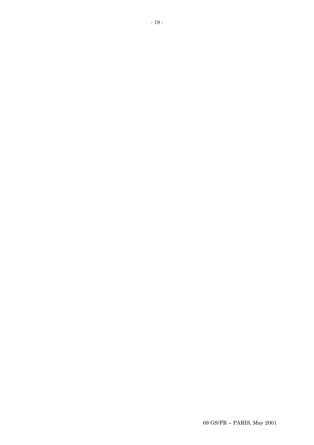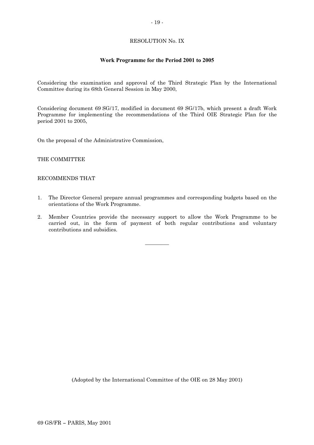## RESOLUTION No. IX

## **Work Programme for the Period 2001 to 2005**

Considering the examination and approval of the Third Strategic Plan by the International Committee during its 68th General Session in May 2000,

Considering document 69 SG/17, modified in document 69 SG/17b, which present a draft Work Programme for implementing the recommendations of the Third OIE Strategic Plan for the period 2001 to 2005,

On the proposal of the Administrative Commission,

THE COMMITTEE

### RECOMMENDS THAT

- 1. The Director General prepare annual programmes and corresponding budgets based on the orientations of the Work Programme.
- 2. Member Countries provide the necessary support to allow the Work Programme to be carried out, in the form of payment of both regular contributions and voluntary contributions and subsidies.

 $\overline{\phantom{a}}$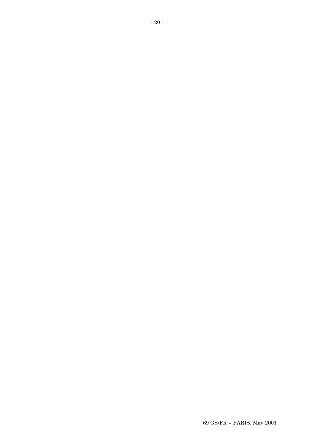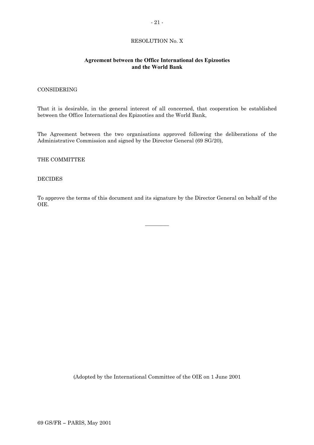## RESOLUTION No. X

## **Agreement between the Office International des Epizooties and the World Bank**

## CONSIDERING

That it is desirable, in the general interest of all concerned, that cooperation be established between the Office International des Epizooties and the World Bank,

The Agreement between the two organisations approved following the deliberations of the Administrative Commission and signed by the Director General (69 SG/20),

### THE COMMITTEE

## DECIDES

To approve the terms of this document and its signature by the Director General on behalf of the OIE.

 $\overline{\phantom{a}}$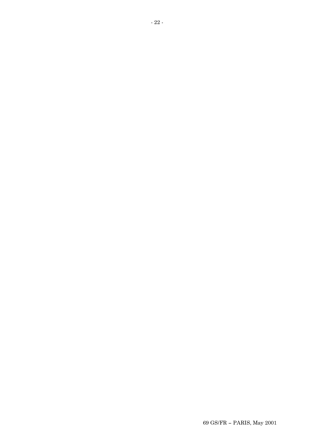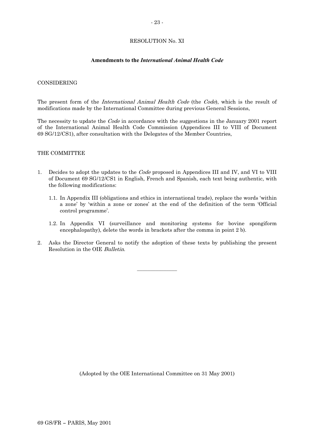## RESOLUTION No. XI

#### **Amendments to the** *International Animal Health Code*

#### CONSIDERING

The present form of the *International Animal Health Code* (the *Code*), which is the result of modifications made by the International Committee during previous General Sessions,

The necessity to update the *Code* in accordance with the suggestions in the January 2001 report of the International Animal Health Code Commission (Appendices III to VIII of Document 69 SG/12/CS1), after consultation with the Delegates of the Member Countries,

#### THE COMMITTEE

- 1. Decides to adopt the updates to the Code proposed in Appendices III and IV, and VI to VIII of Document 69 SG/12/CS1 in English, French and Spanish, each text being authentic, with the following modifications:
	- 1.1. In Appendix III (obligations and ethics in international trade), replace the words 'within a zone' by 'within a zone or zones' at the end of the definition of the term 'Official control programme'.
	- 1.2. In Appendix VI (surveillance and monitoring systems for bovine spongiform encephalopathy), delete the words in brackets after the comma in point 2 b).
- 2. Asks the Director General to notify the adoption of these texts by publishing the present Resolution in the OIE Bulletin.

(Adopted by the OIE International Committee on 31 May 2001)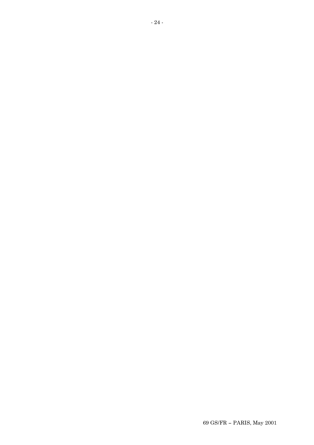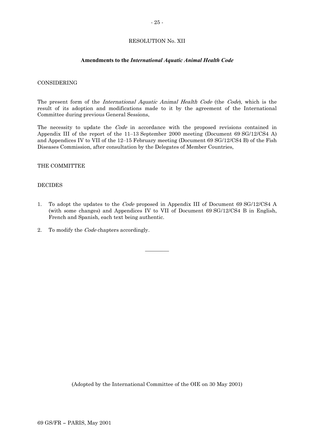## RESOLUTION No. XII

#### **Amendments to the** *International Aquatic Animal Health Code*

#### CONSIDERING

The present form of the International Aquatic Animal Health Code (the Code), which is the result of its adoption and modifications made to it by the agreement of the International Committee during previous General Sessions,

The necessity to update the *Code* in accordance with the proposed revisions contained in Appendix III of the report of the 11–13 September 2000 meeting (Document 69 SG/12/CS4 A) and Appendices IV to VII of the 12–15 February meeting (Document 69 SG/12/CS4 B) of the Fish Diseases Commission, after consultation by the Delegates of Member Countries,

#### THE COMMITTEE

#### DECIDES

1. To adopt the updates to the Code proposed in Appendix III of Document 69 SG/12/CS4 A (with some changes) and Appendices IV to VII of Document 69 SG/12/CS4 B in English, French and Spanish, each text being authentic.

 $\overline{\phantom{a}}$ 

2. To modify the *Code* chapters accordingly.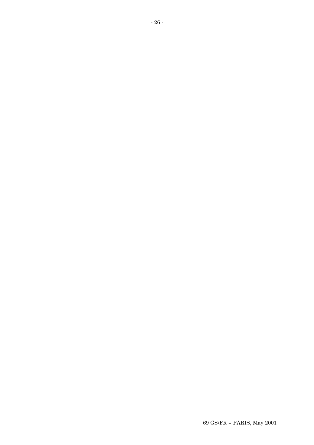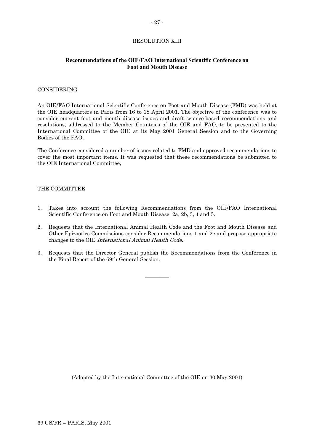## RESOLUTION XIII

## **Recommendations of the OIE/FAO International Scientific Conference on Foot and Mouth Disease**

### CONSIDERING

An OIE/FAO International Scientific Conference on Foot and Mouth Disease (FMD) was held at the OIE headquarters in Paris from 16 to 18 April 2001. The objective of the conference was to consider current foot and mouth disease issues and draft science-based recommendations and resolutions, addressed to the Member Countries of the OIE and FAO, to be presented to the International Committee of the OIE at its May 2001 General Session and to the Governing Bodies of the FAO,

The Conference considered a number of issues related to FMD and approved recommendations to cover the most important items. It was requested that these recommendations be submitted to the OIE International Committee,

## THE COMMITTEE

- 1. Takes into account the following Recommendations from the OIE/FAO International Scientific Conference on Foot and Mouth Disease: 2a, 2b, 3, 4 and 5.
- 2. Requests that the International Animal Health Code and the Foot and Mouth Disease and Other Epizootics Commissions consider Recommendations 1 and 2c and propose appropriate changes to the OIE International Animal Health Code.
- 3. Requests that the Director General publish the Recommendations from the Conference in the Final Report of the 69th General Session.

 $\overline{\phantom{a}}$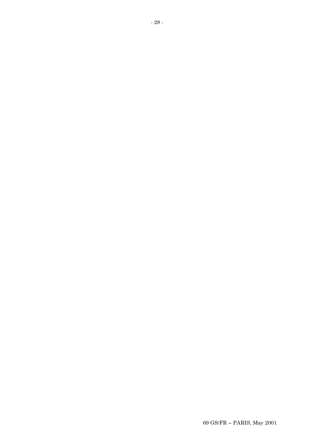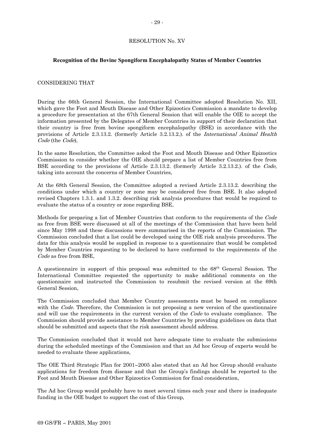## RESOLUTION No. XV

## **Recognition of the Bovine Spongiform Encephalopathy Status of Member Countries**

### CONSIDERING THAT

During the 66th General Session, the International Committee adopted Resolution No. XII, which gave the Foot and Mouth Disease and Other Epizootics Commission a mandate to develop a procedure for presentation at the 67th General Session that will enable the OIE to accept the information presented by the Delegates of Member Countries in support of their declaration that their country is free from bovine spongiform encephalopathy (BSE) in accordance with the provisions of Article 2.3.13.2. (formerly Article 3.2.13.2.). of the International Animal Health Code (the Code),

In the same Resolution, the Committee asked the Foot and Mouth Disease and Other Epizootics Commission to consider whether the OIE should prepare a list of Member Countries free from BSE according to the provisions of Article 2.3.13.2. (formerly Article 3.2.13.2.). of the Code, taking into account the concerns of Member Countries,

At the 68th General Session, the Committee adopted a revised Article 2.3.13.2. describing the conditions under which a country or zone may be considered free from BSE. It also adopted revised Chapters 1.3.1. and 1.3.2. describing risk analysis procedures that would be required to evaluate the status of a country or zone regarding BSE,

Methods for preparing a list of Member Countries that conform to the requirements of the Code as free from BSE were discussed at all of the meetings of the Commission that have been held since May 1998 and these discussions were summarised in the reports of the Commission. The Commission concluded that a list could be developed using the OIE risk analysis procedures. The data for this analysis would be supplied in response to a questionnaire that would be completed by Member Countries requesting to be declared to have conformed to the requirements of the Code as free from BSE,

A questionnaire in support of this proposal was submitted to the 68<sup>th</sup> General Session. The International Committee requested the opportunity to make additional comments on the questionnaire and instructed the Commission to resubmit the revised version at the 69th General Session,

The Commission concluded that Member Country assessments must be based on compliance with the *Code*. Therefore, the Commission is not proposing a new version of the questionnaire and will use the requirements in the current version of the Code to evaluate compliance. The Commission should provide assistance to Member Countries by providing guidelines on data that should be submitted and aspects that the risk assessment should address.

The Commission concluded that it would not have adequate time to evaluate the submissions during the scheduled meetings of the Commission and that an Ad hoc Group of experts would be needed to evaluate these applications,

The OIE Third Strategic Plan for 2001—2005 also stated that an Ad hoc Group should evaluate applications for freedom from disease and that the Group's findings should be reported to the Foot and Mouth Disease and Other Epizootics Commission for final consideration,

The Ad hoc Group would probably have to meet several times each year and there is inadequate funding in the OIE budget to support the cost of this Group,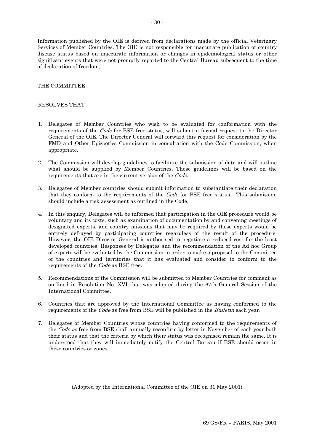Information published by the OIE is derived from declarations made by the official Veterinary Services of Member Countries. The OIE is not responsible for inaccurate publication of country disease status based on inaccurate information or changes in epidemiological status or other significant events that were not promptly reported to the Central Bureau subsequent to the time of declaration of freedom,

## THE COMMITTEE

## RESOLVES THAT

- 1. Delegates of Member Countries who wish to be evaluated for conformation with the requirements of the Code for BSE free status, will submit a formal request to the Director General of the OIE. The Director General will forward this request for consideration by the FMD and Other Epizootics Commission in consultation with the Code Commission, when appropriate.
- 2. The Commission will develop guidelines to facilitate the submission of data and will outline what should be supplied by Member Countries. These guidelines will be based on the requirements that are in the current version of the Code.
- 3. Delegates of Member countries should submit information to substantiate their declaration that they conform to the requirements of the Code for BSE free status. This submission should include a risk assessment as outlined in the Code.
- 4. In this enquiry, Delegates will be informed that participation in the OIE procedure would be voluntary and its costs, such as examination of documentation by and convening meetings of designated experts, and country missions that may be required by these experts would be entirely defrayed by participating countries regardless of the result of the procedure. However, the OIE Director General is authorised to negotiate a reduced cost for the least developed countries. Responses by Delegates and the recommendation of the Ad hoc Group of experts will be evaluated by the Commission in order to make a proposal to the Committee of the countries and territories that it has evaluated and consider to conform to the requirements of the *Code* as BSE free.
- 5. Recommendations of the Commission will be submitted to Member Countries for comment as outlined in Resolution No. XVI that was adopted during the 67th General Session of the International Committee.
- 6. Countries that are approved by the International Committee as having conformed to the requirements of the *Code* as free from BSE will be published in the *Bulletin* each year.
- 7. Delegates of Member Countries whose countries having conformed to the requirements of the *Code as* free from BSE shall annually reconfirm by letter in November of each year both their status and that the criteria by which their status was recognised remain the same. It is understood that they will immediately notify the Central Bureau if BSE should occur in these countries or zones.

(Adopted by the International Committee of the OIE on 31 May 2001)

 $\mathcal{L}_\text{max}$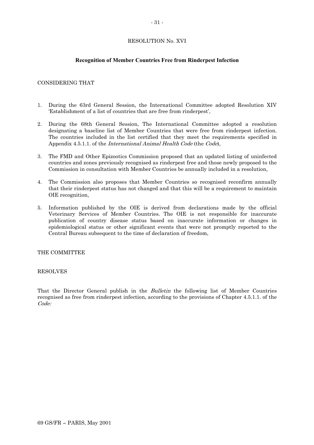## RESOLUTION No. XVI

## **Recognition of Member Countries Free from Rinderpest Infection**

### CONSIDERING THAT

- 1. During the 63rd General Session, the International Committee adopted Resolution XIV 'Establishment of a list of countries that are free from rinderpest',
- 2. During the 68th General Session, The International Committee adopted a resolution designating a baseline list of Member Countries that were free from rinderpest infection. The countries included in the list certified that they meet the requirements specified in Appendix 4.5.1.1. of the *International Animal Health Code* (the *Code*),
- 3. The FMD and Other Epizootics Commission proposed that an updated listing of uninfected countries and zones previously recognised as rinderpest free and those newly proposed to the Commission in consultation with Member Countries be annually included in a resolution,
- 4. The Commission also proposes that Member Countries so recognised reconfirm annually that their rinderpest status has not changed and that this will be a requirement to maintain OIE recognition,
- 5. Information published by the OIE is derived from declarations made by the official Veterinary Services of Member Countries. The OIE is not responsible for inaccurate publication of country disease status based on inaccurate information or changes in epidemiological status or other significant events that were not promptly reported to the Central Bureau subsequent to the time of declaration of freedom,

## THE COMMITTEE

### RESOLVES

That the Director General publish in the Bulletin the following list of Member Countries recognised as free from rinderpest infection, according to the provisions of Chapter 4.5.1.1. of the Code: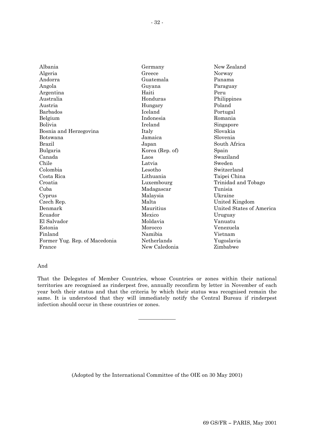| Albania                       |
|-------------------------------|
| Algeria                       |
| Andorra                       |
| Angola                        |
| Argentina                     |
| Australia                     |
| Austria                       |
| Barbados                      |
| Belgium                       |
| Bolivia                       |
| Bosnia and Herzegovina        |
| Botswana                      |
| Brazil                        |
| Bulgaria                      |
| Canada                        |
| Chile                         |
| Colombia                      |
| Costa Rica                    |
| Croatia                       |
| Cuba                          |
| Cyprus                        |
| Czech Rep.                    |
| Denmark                       |
| Ecuador                       |
| El Salvador                   |
| Estonia                       |
| Finland                       |
| Former Yug. Rep. of Macedonia |
| France                        |

Germany Greece Guatemala Guyana Haiti Honduras Hungary Iceland Indonesia Ireland Italy Jamaica Japan Korea (Rep. of) Laos Latvia Lesotho Lithuania Luxembourg Madagascar Malaysia Malta Mauritius Mexico Moldavia Morocco Namibia Netherlands New Caledonia

New Zealand Norway Panama Paraguay Peru Philippines Poland Portugal Romania Singapore Slovakia Slovenia South Africa Spain Swaziland Sweden Switzerland Taipei China Trinidad and Tobago Tunisia Ukraine United Kingdom United States of America Uruguay Vanuatu Venezuela Vietnam Yugoslavia Zimbabwe

#### And

That the Delegates of Member Countries, whose Countries or zones within their national territories are recognised as rinderpest free, annually reconfirm by letter in November of each year both their status and that the criteria by which their status was recognised remain the same. It is understood that they will immediately notify the Central Bureau if rinderpest infection should occur in these countries or zones.

 $\overline{\phantom{a}}$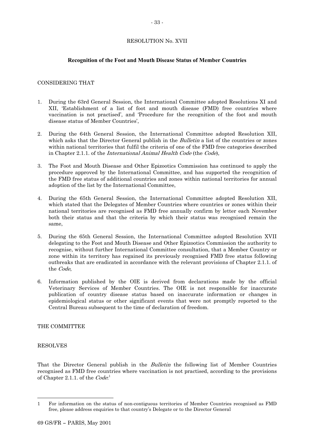## RESOLUTION No. XVII

## **Recognition of the Foot and Mouth Disease Status of Member Countries**

## CONSIDERING THAT

- 1. During the 63rd General Session, the International Committee adopted Resolutions XI and XII, 'Establishment of a list of foot and mouth disease (FMD) free countries where vaccination is not practised', and 'Procedure for the recognition of the foot and mouth disease status of Member Countries',
- 2. During the 64th General Session, the International Committee adopted Resolution XII, which asks that the Director General publish in the *Bulletin* a list of the countries or zones within national territories that fulfil the criteria of one of the FMD free categories described in Chapter 2.1.1. of the International Animal Health Code (the Code),
- 3. The Foot and Mouth Disease and Other Epizootics Commission has continued to apply the procedure approved by the International Committee, and has supported the recognition of the FMD free status of additional countries and zones within national territories for annual adoption of the list by the International Committee,
- 4. During the 65th General Session, the International Committee adopted Resolution XII, which stated that the Delegates of Member Countries where countries or zones within their national territories are recognised as FMD free annually confirm by letter each November both their status and that the criteria by which their status was recognised remain the same,
- 5. During the 65th General Session, the International Committee adopted Resolution XVII delegating to the Foot and Mouth Disease and Other Epizootics Commission the authority to recognise, without further International Committee consultation, that a Member Country or zone within its territory has regained its previously recognised FMD free status following outbreaks that are eradicated in accordance with the relevant provisions of Chapter 2.1.1. of the Code,
- Information published by the OIE is derived from declarations made by the official Veterinary Services of Member Countries. The OIE is not responsible for inaccurate publication of country disease status based on inaccurate information or changes in epidemiological status or other significant events that were not promptly reported to the Central Bureau subsequent to the time of declaration of freedom.

### THE COMMITTEE

### RESOLVES

 $\overline{a}$ 

That the Director General publish in the *Bulletin* the following list of Member Countries recognised as FMD free countries where vaccination is not practised, according to the provisions of Chapter 2.1.1. of the Code:<sup>1</sup>

<span id="page-32-0"></span><sup>1</sup> For information on the st[atu](#page-32-0)s of non-contiguous territories of Member Countries recognised as FMD free, please address enquiries to that country's Delegate or to the Director General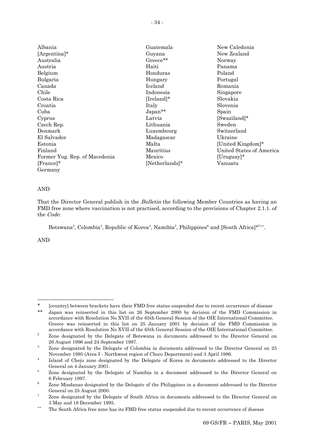| Albania                       | Guatemala      | New Caledonia            |
|-------------------------------|----------------|--------------------------|
| $[Argentina]$ *               | Guyana         | New Zealand              |
| Australia                     | Greece**       | Norway                   |
| Austria                       | Haiti          | Panama                   |
| Belgium                       | Honduras       | Poland                   |
| Bulgaria                      | Hungary        | Portugal                 |
| Canada                        | Iceland        | Romania                  |
| Chile                         | Indonesia      | Singapore                |
| Costa Rica                    | [Ireland]*     | Slovakia                 |
| Croatia                       | Italy          | Slovenia                 |
| Cuba                          | $Japan**$      | Spain                    |
| Cyprus                        | Latvia         | [Swaziland]*             |
| Czech Rep.                    | Lithuania      | Sweden                   |
| Denmark                       | Luxembourg     | Switzerland              |
| El Salvador                   | Madagascar     | Ukraine                  |
| Estonia                       | Malta          | [United Kingdom]*        |
| Finland                       | Mauritius      | United States of America |
| Former Yug. Rep. of Macedonia | Mexico         | $[Uruguay]$ *            |
| $[France]^*$                  | [Netherlands]* | Vanuatu                  |
| Germany                       |                |                          |

## AND

That the Director General publish in the *Bulletin* the following Member Countries as having an FMD free zone where vaccination is not practised, according to the provisions of Chapter 2.1.1. of the Code:

Botswana<sup>2</sup>, Colombia<sup>3</sup>, Republic of Korea<sup>4</sup>, Namibia<sup>5</sup>, Philippines<sup>6</sup> and [South Africa]\*<sup>7++</sup>.

AND

 $\overline{a}$ 

<sup>\* [</sup>country] between brackets have their FMD free status suspended due to recent occurrence of disease<br>\*\* Ignor was reincerted in this list on 26 Soptember 2000 by degision of the FMD Commission

Japan was reinserted in this list on 26 September 2000 by decision of the FMD Commission in accordance with Resolution No XVII of the 65th General Session of the OIE International Committee. Greece was reinserted in this list on 25 January 2001 by decision of the FMD Commission in accordance with Resolution No XVII of the 65th General Session of the OIE International Committee.

<span id="page-33-0"></span><sup>&</sup>lt;sup>2</sup> Zone designated by the Delegate of Botswana in documents addressed to the Director General on 26 August 1996 and 24 September 1997.

<sup>&</sup>lt;sup>3</sup> Zone designated by the Delegate of Colombia in documents addressed to the Director General on 25 November 1995 (Area I - Northwest region of Choco Department) and 3 April 1996.

<sup>4</sup> Island of Cheju zone designated by the Delegate of Korea in documents addressed to the Director General on 4 January 2001.

<sup>&</sup>lt;sup>5</sup> Zone designated by the Delegate of Namibia in a document addressed to the Director General on 6 February 1997.

 $6$  Zone Mindanao designated by the Delegate of the Philippines in a document addressed to the Director General on 25 August 2000.

<sup>&</sup>lt;sup>7</sup> Zone designated by the Delegate of South Africa in documents addressed to the Director General on 3 May and 18 December 1995.

<sup>&</sup>lt;sup>++</sup> The South Africa free zone has its FMD free status suspended due to recent occurrence of disease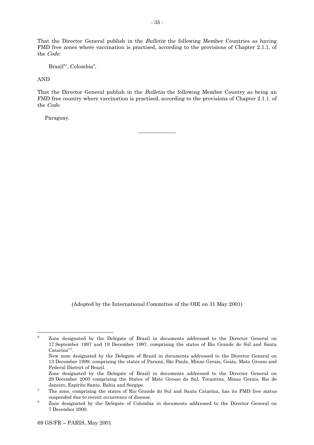That the Director General publish in the *Bulletin* the following Member Countries as having FMD free zones where vaccination is practised, according to the provisions of Chapter 2.1.1. of the Code:

Brazil<sup>8+</sup>, Colombia<sup>9</sup>,

AND

That the [D](#page-34-0)[ir](#page-34-1)ector Ge[ne](#page-34-2)ral publish in the *Bulletin* the following Member Country as being an FMD free country where vaccination is practised, according to the provisions of Chapter 2.1.1. of the Code:

 $\overline{\phantom{a}}$  , where  $\overline{\phantom{a}}$ 

Paraguay.

(Adopted by the International Committee of the OIE on 31 May 2001)

 $\overline{a}$ 

<sup>8</sup> Zone designated by the Delegate of Brazil in documents addressed to the Director General on 17 September 1997 and 19 December 1997, comprising the states of Rio Grande do Sul and Santa  $\text{Catarina}^{(+)}.$ 

<span id="page-34-0"></span>New zone designated by the Delegate of Brazil in documents addressed to the Director General on 13 December 1999, comprising the states of Paraná, São Paulo, Minas Gerais, Goiás, Mato Grosso and Federal District of Brazil.

Zone designated by the Delegate of Brazil in documents addressed to the Director General on 29 December 2000 comprising the States of Mato Grosso do Sul, Tocantins, Minas Gerais, Rio de Janeiro, Espírito Santo, Bahia and Sergipe.

The zone, comprising the states of Rio Grande do Sul and Santa Catarina, has its FMD free status suspended due to recent occurrence of disease.

<span id="page-34-2"></span><span id="page-34-1"></span><sup>&</sup>lt;sup>9</sup> Zone designated by the Delegate of Colombia in documents addressed to the Director General on 7 December 2000.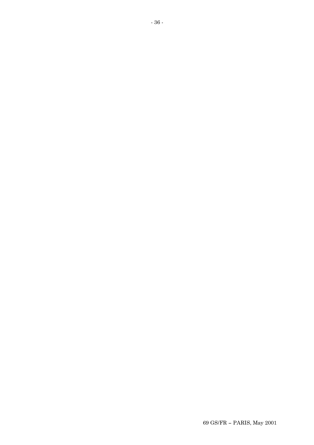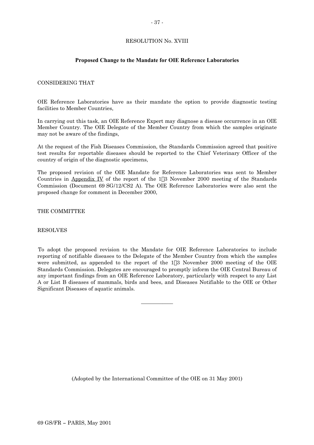## RESOLUTION No. XVIII

## **Proposed Change to the Mandate for OIE Reference Laboratories**

#### CONSIDERING THAT

OIE Reference Laboratories have as their mandate the option to provide diagnostic testing facilities to Member Countries,

In carrying out this task, an OIE Reference Expert may diagnose a disease occurrence in an OIE Member Country. The OIE Delegate of the Member Country from which the samples originate may not be aware of the findings,

At the request of the Fish Diseases Commission, the Standards Commission agreed that positive test results for reportable diseases should be reported to the Chief Veterinary Officer of the country of origin of the diagnostic specimens,

The proposed revision of the OIE Mandate for Reference Laboratories was sent to Member Countries in Appendix IV of the report of the 13 November 2000 meeting of the Standards Commission (Document 69 SG/12/CS2 A). The OIE Reference Laboratories were also sent the proposed change for comment in December 2000,

THE COMMITTEE

#### RESOLVES

To adopt the proposed revision to the Mandate for OIE Reference Laboratories to include reporting of notifiable diseases to the Delegate of the Member Country from which the samples were submitted, as appended to the report of the 13 November 2000 meeting of the OIE Standards Commission. Delegates are encouraged to promptly inform the OIE Central Bureau of any important findings from an OIE Reference Laboratory, particularly with respect to any List A or List B diseases of mammals, birds and bees, and Diseases Notifiable to the OIE or Other Significant Diseases of aquatic animals.

\_\_\_\_\_\_\_\_\_\_\_\_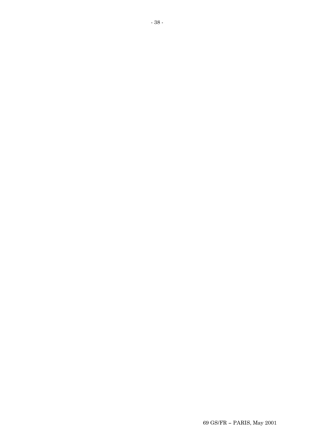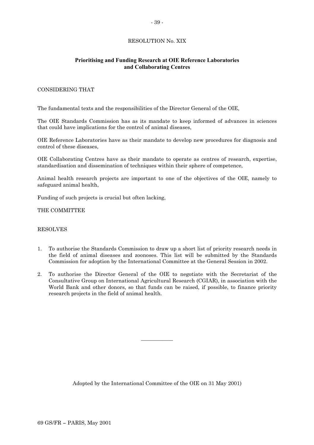# RESOLUTION No. XIX

# **Prioritising and Funding Research at OIE Reference Laboratories and Collaborating Centres**

## CONSIDERING THAT

The fundamental texts and the responsibilities of the Director General of the OIE,

The OIE Standards Commission has as its mandate to keep informed of advances in sciences that could have implications for the control of animal diseases,

OIE Reference Laboratories have as their mandate to develop new procedures for diagnosis and control of these diseases,

OIE Collaborating Centres have as their mandate to operate as centres of research, expertise, standardisation and dissemination of techniques within their sphere of competence,

Animal health research projects are important to one of the objectives of the OIE, namely to safeguard animal health,

Funding of such projects is crucial but often lacking,

THE COMMITTEE

### RESOLVES

- 1. To authorise the Standards Commission to draw up a short list of priority research needs in the field of animal diseases and zoonoses. This list will be submitted by the Standards Commission for adoption by the International Committee at the General Session in 2002.
- 2. To authorise the Director General of the OIE to negotiate with the Secretariat of the Consultative Group on International Agricultural Research (CGIAR), in association with the World Bank and other donors, so that funds can be raised, if possible, to finance priority research projects in the field of animal health.

Adopted by the International Committee of the OIE on 31 May 2001)

\_\_\_\_\_\_\_\_\_\_\_\_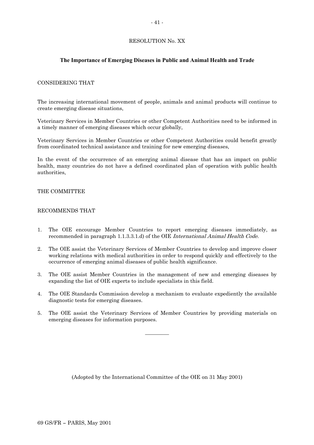# RESOLUTION No. XX

## **The Importance of Emerging Diseases in Public and Animal Health and Trade**

## CONSIDERING THAT

The increasing international movement of people, animals and animal products will continue to create emerging disease situations,

Veterinary Services in Member Countries or other Competent Authorities need to be informed in a timely manner of emerging diseases which occur globally,

Veterinary Services in Member Countries or other Competent Authorities could benefit greatly from coordinated technical assistance and training for new emerging diseases,

In the event of the occurrence of an emerging animal disease that has an impact on public health, many countries do not have a defined coordinated plan of operation with public health authorities,

### THE COMMITTEE

#### RECOMMENDS THAT

- 1. The OIE encourage Member Countries to report emerging diseases immediately, as recommended in paragraph 1.1.3.3.1.d) of the OIE International Animal Health Code.
- 2. The OIE assist the Veterinary Services of Member Countries to develop and improve closer working relations with medical authorities in order to respond quickly and effectively to the occurrence of emerging animal diseases of public health significance.
- 3. The OIE assist Member Countries in the management of new and emerging diseases by expanding the list of OIE experts to include specialists in this field.
- 4. The OIE Standards Commission develop a mechanism to evaluate expediently the available diagnostic tests for emerging diseases.
- 5. The OIE assist the Veterinary Services of Member Countries by providing materials on emerging diseases for information purposes.

 $\overline{\phantom{a}}$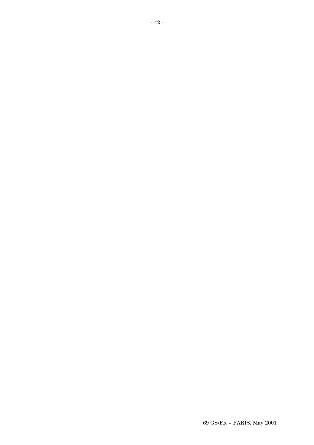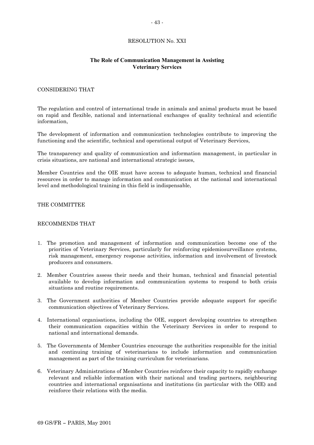## RESOLUTION No. XXI

## **The Role of Communication Management in Assisting Veterinary Services**

## CONSIDERING THAT

The regulation and control of international trade in animals and animal products must be based on rapid and flexible, national and international exchanges of quality technical and scientific information,

The development of information and communication technologies contribute to improving the functioning and the scientific, technical and operational output of Veterinary Services,

The transparency and quality of communication and information management, in particular in crisis situations, are national and international strategic issues,

Member Countries and the OIE must have access to adequate human, technical and financial resources in order to manage information and communication at the national and international level and methodological training in this field is indispensable,

### THE COMMITTEE

### RECOMMENDS THAT

- 1. The promotion and management of information and communication become one of the priorities of Veterinary Services, particularly for reinforcing epidemiosurveillance systems, risk management, emergency response activities, information and involvement of livestock producers and consumers.
- 2. Member Countries assess their needs and their human, technical and financial potential available to develop information and communication systems to respond to both crisis situations and routine requirements.
- 3. The Government authorities of Member Countries provide adequate support for specific communication objectives of Veterinary Services.
- 4. International organisations, including the OIE, support developing countries to strengthen their communication capacities within the Veterinary Services in order to respond to national and international demands.
- 5. The Governments of Member Countries encourage the authorities responsible for the initial and continuing training of veterinarians to include information and communication management as part of the training curriculum for veterinarians.
- 6. Veterinary Administrations of Member Countries reinforce their capacity to rapidly exchange relevant and reliable information with their national and trading partners, neighbouring countries and international organisations and institutions (in particular with the OIE) and reinforce their relations with the media.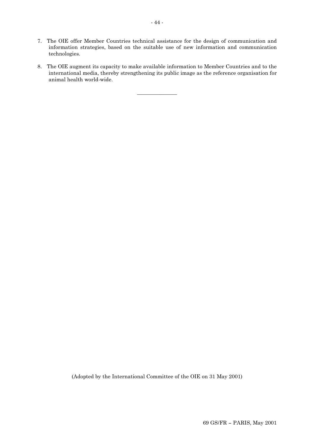- 7. The OIE offer Member Countries technical assistance for the design of communication and information strategies, based on the suitable use of new information and communication technologies.
- 8. The OIE augment its capacity to make available information to Member Countries and to the international media, thereby strengthening its public image as the reference organisation for animal health world-wide.

\_\_\_\_\_\_\_\_\_\_\_\_\_\_\_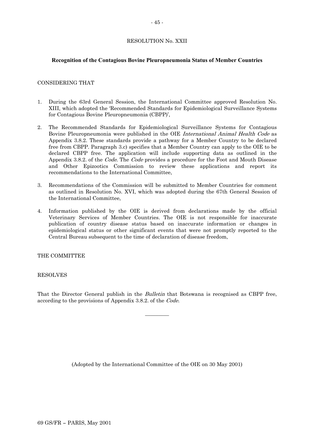## RESOLUTION No. XXII

## **Recognition of the Contagious Bovine Pleuropneumonia Status of Member Countries**

## CONSIDERING THAT

- 1. During the 63rd General Session, the International Committee approved Resolution No. XIII, which adopted the 'Recommended Standards for Epidemiological Surveillance Systems for Contagious Bovine Pleuropneumonia (CBPP)',
- 2. The Recommended Standards for Epidemiological Surveillance Systems for Contagious Bovine Pleuropneumonia were published in the OIE International Animal Health Code as Appendix 3.8.2. These standards provide a pathway for a Member Country to be declared free from CBPP. Paragraph 3.c) specifies that a Member Country can apply to the OIE to be declared CBPP free. The application will include supporting data as outlined in the Appendix 3.8.2. of the *Code*. The *Code* provides a procedure for the Foot and Mouth Disease and Other Epizootics Commission to review these applications and report its recommendations to the International Committee,
- 3. Recommendations of the Commission will be submitted to Member Countries for comment as outlined in Resolution No. XVI, which was adopted during the 67th General Session of the International Committee,
- 4. Information published by the OIE is derived from declarations made by the official Veterinary Services of Member Countries. The OIE is not responsible for inaccurate publication of country disease status based on inaccurate information or changes in epidemiological status or other significant events that were not promptly reported to the Central Bureau subsequent to the time of declaration of disease freedom,

### THE COMMITTEE

### RESOLVES

That the Director General publish in the *Bulletin* that Botswana is recognised as CBPP free, according to the provisions of Appendix 3.8.2. of the Code.

 $\overline{\phantom{a}}$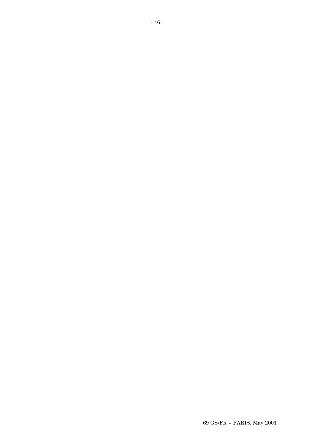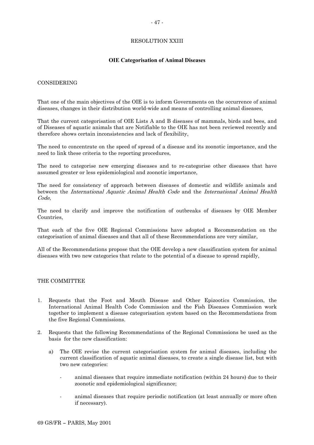## RESOLUTION XXIII

### **OIE Categorisation of Animal Diseases**

#### CONSIDERING

That one of the main objectives of the OIE is to inform Governments on the occurrence of animal diseases, changes in their distribution world-wide and means of controlling animal diseases,

That the current categorisation of OIE Lists A and B diseases of mammals, birds and bees, and of Diseases of aquatic animals that are Notifiable to the OIE has not been reviewed recently and therefore shows certain inconsistencies and lack of flexibility,

The need to concentrate on the speed of spread of a disease and its zoonotic importance, and the need to link these criteria to the reporting procedures,

The need to categorise new emerging diseases and to re-categorise other diseases that have assumed greater or less epidemiological and zoonotic importance,

The need for consistency of approach between diseases of domestic and wildlife animals and between the International Aquatic Animal Health Code and the International Animal Health Code,

The need to clarify and improve the notification of outbreaks of diseases by OIE Member Countries,

That each of the five OIE Regional Commissions have adopted a Recommendation on the categorisation of animal diseases and that all of these Recommendations are very similar,

All of the Recommendations propose that the OIE develop a new classification system for animal diseases with two new categories that relate to the potential of a disease to spread rapidly,

#### THE COMMITTEE

- 1. Requests that the Foot and Mouth Disease and Other Epizootics Commission, the International Animal Health Code Commission and the Fish Diseases Commission work together to implement a disease categorisation system based on the Recommendations from the five Regional Commissions.
- 2. Requests that the following Recommendations of the Regional Commissions be used as the basis for the new classification:
	- a) The OIE revise the current categorisation system for animal diseases, including the current classification of aquatic animal diseases, to create a single disease list, but with two new categories:
		- animal diseases that require immediate notification (within 24 hours) due to their zoonotic and epidemiological significance;
		- animal diseases that require periodic notification (at least annually or more often if necessary).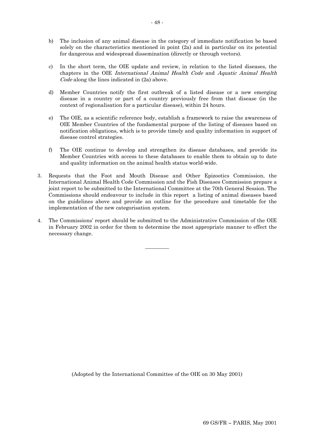- b) The inclusion of any animal disease in the category of immediate notification be based solely on the characteristics mentioned in point (2a) and in particular on its potential for dangerous and widespread dissemination (directly or through vectors).
- c) In the short term, the OIE update and review, in relation to the listed diseases, the chapters in the OIE International Animal Health Code and Aquatic Animal Health Code along the lines indicated in (2a) above.
- d) Member Countries notify the first outbreak of a listed disease or a new emerging disease in a country or part of a country previously free from that disease (in the context of regionalisation for a particular disease), within 24 hours.
- e) The OIE, as a scientific reference body, establish a framework to raise the awareness of OIE Member Countries of the fundamental purpose of the listing of diseases based on notification obligations, which is to provide timely and quality information in support of disease control strategies.
- f) The OIE continue to develop and strengthen its disease databases, and provide its Member Countries with access to these databases to enable them to obtain up to date and quality information on the animal health status world-wide.
- 3. Requests that the Foot and Mouth Disease and Other Epizootics Commission, the International Animal Health Code Commission and the Fish Diseases Commission prepare a joint report to be submitted to the International Committee at the 70th General Session. The Commissions should endeavour to include in this report a listing of animal diseases based on the guidelines above and provide an outline for the procedure and timetable for the implementation of the new categorisation system.
- 4. The Commissions' report should be submitted to the Administrative Commission of the OIE in February 2002 in order for them to determine the most appropriate manner to effect the necessary change.

 $\overline{\phantom{a}}$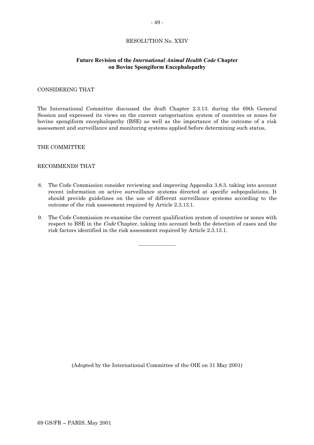## RESOLUTION No. XXIV

## **Future Revision of the** *International Animal Health Code* **Chapter on Bovine Spongiform Encephalopathy**

## CONSIDERING THAT

The International Committee discussed the draft Chapter 2.3.13. during the 69th General Session and expressed its views on the current categorisation system of countries or zones for bovine spongiform encephalopathy (BSE) as well as the importance of the outcome of a risk assessment and surveillance and monitoring systems applied before determining such status,

### THE COMMITTEE

#### RECOMMENDS THAT

- 8. The Code Commission consider reviewing and improving Appendix 3.8.3. taking into account recent information on active surveillance systems directed at specific subpopulations. It should provide guidelines on the use of different surveillance systems according to the outcome of the risk assessment required by Article 2.3.13.1.
- 9. The Code Commission re-examine the current qualification system of countries or zones with respect to BSE in the *Code* Chapter, taking into account both the detection of cases and the risk factors identified in the risk assessment required by Article 2.3.13.1.

 $\mathcal{L}_\text{max}$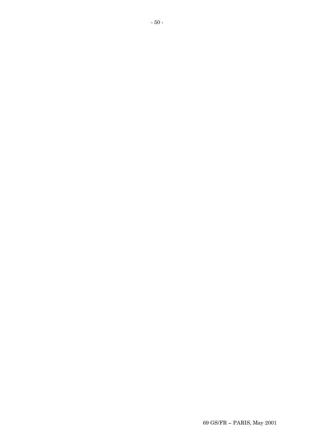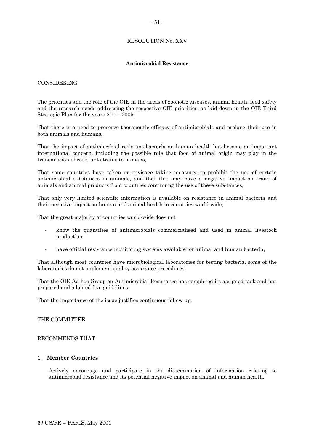## RESOLUTION No. XXV

## **Antimicrobial Resistance**

#### CONSIDERING

The priorities and the role of the OIE in the areas of zoonotic diseases, animal health, food safety and the research needs addressing the respective OIE priorities, as laid down in the OIE Third Strategic Plan for the years 2001—2005,

That there is a need to preserve therapeutic efficacy of antimicrobials and prolong their use in both animals and humans,

That the impact of antimicrobial resistant bacteria on human health has become an important international concern, including the possible role that food of animal origin may play in the transmission of resistant strains to humans,

That some countries have taken or envisage taking measures to prohibit the use of certain antimicrobial substances in animals, and that this may have a negative impact on trade of animals and animal products from countries continuing the use of these substances,

That only very limited scientific information is available on resistance in animal bacteria and their negative impact on human and animal health in countries world-wide,

That the great majority of countries world-wide does not

- know the quantities of antimicrobials commercialised and used in animal livestock production
- have official resistance monitoring systems available for animal and human bacteria,

That although most countries have microbiological laboratories for testing bacteria, some of the laboratories do not implement quality assurance procedures,

That the OIE Ad hoc Group on Antimicrobial Resistance has completed its assigned task and has prepared and adopted five guidelines,

That the importance of the issue justifies continuous follow-up,

#### THE COMMITTEE

#### RECOMMENDS THAT

## **1. Member Countries**

Actively encourage and participate in the dissemination of information relating to antimicrobial resistance and its potential negative impact on animal and human health.